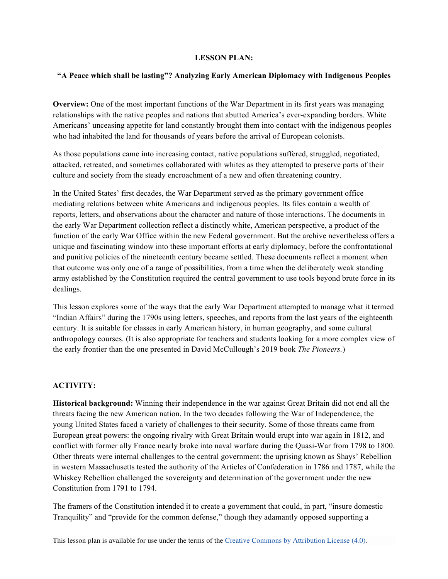### **LESSON PLAN:**

#### **"A Peace which shall be lasting"? Analyzing Early American Diplomacy with Indigenous Peoples**

**Overview:** One of the most important functions of the War Department in its first years was managing relationships with the native peoples and nations that abutted America's ever-expanding borders. White Americans' unceasing appetite for land constantly brought them into contact with the indigenous peoples who had inhabited the land for thousands of years before the arrival of European colonists.

As those populations came into increasing contact, native populations suffered, struggled, negotiated, attacked, retreated, and sometimes collaborated with whites as they attempted to preserve parts of their culture and society from the steady encroachment of a new and often threatening country.

In the United States' first decades, the War Department served as the primary government office mediating relations between white Americans and indigenous peoples. Its files contain a wealth of reports, letters, and observations about the character and nature of those interactions. The documents in the early War Department collection reflect a distinctly white, American perspective, a product of the function of the early War Office within the new Federal government. But the archive nevertheless offers a unique and fascinating window into these important efforts at early diplomacy, before the confrontational and punitive policies of the nineteenth century became settled. These documents reflect a moment when that outcome was only one of a range of possibilities, from a time when the deliberately weak standing army established by the Constitution required the central government to use tools beyond brute force in its dealings.

This lesson explores some of the ways that the early War Department attempted to manage what it termed "Indian Affairs" during the 1790s using letters, speeches, and reports from the last years of the eighteenth century. It is suitable for classes in early American history, in human geography, and some cultural anthropology courses. (It is also appropriate for teachers and students looking for a more complex view of the early frontier than the one presented in David McCullough's 2019 book *The Pioneers.*)

# **ACTIVITY:**

**Historical background:** Winning their independence in the war against Great Britain did not end all the threats facing the new American nation. In the two decades following the War of Independence, the young United States faced a variety of challenges to their security. Some of those threats came from European great powers: the ongoing rivalry with Great Britain would erupt into war again in 1812, and conflict with former ally France nearly broke into naval warfare during the Quasi-War from 1798 to 1800. Other threats were internal challenges to the central government: the uprising known as Shays' Rebellion in western Massachusetts tested the authority of the Articles of Confederation in 1786 and 1787, while the Whiskey Rebellion challenged the sovereignty and determination of the government under the new Constitution from 1791 to 1794.

The framers of the Constitution intended it to create a government that could, in part, "insure domestic Tranquility" and "provide for the common defense," though they adamantly opposed supporting a

This lesson plan is available for use under the terms of the Creative Commons by Attribution License (4.0).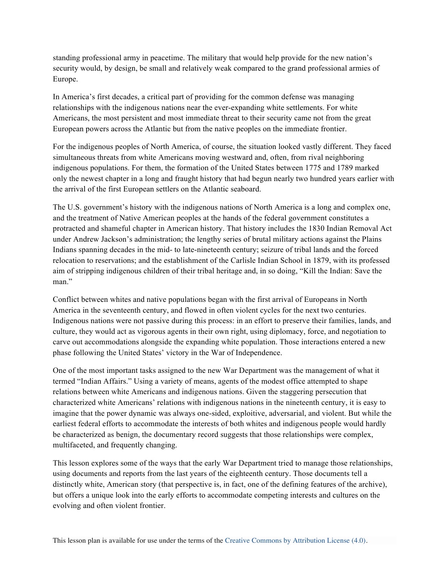standing professional army in peacetime. The military that would help provide for the new nation's security would, by design, be small and relatively weak compared to the grand professional armies of Europe.

In America's first decades, a critical part of providing for the common defense was managing relationships with the indigenous nations near the ever-expanding white settlements. For white Americans, the most persistent and most immediate threat to their security came not from the great European powers across the Atlantic but from the native peoples on the immediate frontier.

For the indigenous peoples of North America, of course, the situation looked vastly different. They faced simultaneous threats from white Americans moving westward and, often, from rival neighboring indigenous populations. For them, the formation of the United States between 1775 and 1789 marked only the newest chapter in a long and fraught history that had begun nearly two hundred years earlier with the arrival of the first European settlers on the Atlantic seaboard.

The U.S. government's history with the indigenous nations of North America is a long and complex one, and the treatment of Native American peoples at the hands of the federal government constitutes a protracted and shameful chapter in American history. That history includes the 1830 Indian Removal Act under Andrew Jackson's administration; the lengthy series of brutal military actions against the Plains Indians spanning decades in the mid- to late-nineteenth century; seizure of tribal lands and the forced relocation to reservations; and the establishment of the Carlisle Indian School in 1879, with its professed aim of stripping indigenous children of their tribal heritage and, in so doing, "Kill the Indian: Save the man."

Conflict between whites and native populations began with the first arrival of Europeans in North America in the seventeenth century, and flowed in often violent cycles for the next two centuries. Indigenous nations were not passive during this process: in an effort to preserve their families, lands, and culture, they would act as vigorous agents in their own right, using diplomacy, force, and negotiation to carve out accommodations alongside the expanding white population. Those interactions entered a new phase following the United States' victory in the War of Independence.

One of the most important tasks assigned to the new War Department was the management of what it termed "Indian Affairs." Using a variety of means, agents of the modest office attempted to shape relations between white Americans and indigenous nations. Given the staggering persecution that characterized white Americans' relations with indigenous nations in the nineteenth century, it is easy to imagine that the power dynamic was always one-sided, exploitive, adversarial, and violent. But while the earliest federal efforts to accommodate the interests of both whites and indigenous people would hardly be characterized as benign, the documentary record suggests that those relationships were complex, multifaceted, and frequently changing.

This lesson explores some of the ways that the early War Department tried to manage those relationships, using documents and reports from the last years of the eighteenth century. Those documents tell a distinctly white, American story (that perspective is, in fact, one of the defining features of the archive), but offers a unique look into the early efforts to accommodate competing interests and cultures on the evolving and often violent frontier.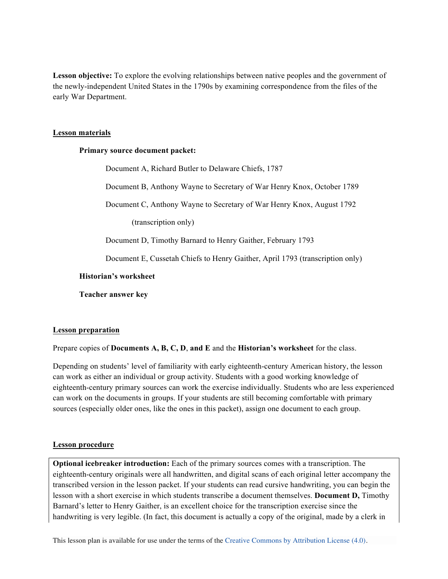**Lesson objective:** To explore the evolving relationships between native peoples and the government of the newly-independent United States in the 1790s by examining correspondence from the files of the early War Department.

# **Lesson materials**

# **Primary source document packet:**

Document A, Richard Butler to Delaware Chiefs, 1787 Document B, Anthony Wayne to Secretary of War Henry Knox, October 1789 Document C, Anthony Wayne to Secretary of War Henry Knox, August 1792 (transcription only) Document D, Timothy Barnard to Henry Gaither, February 1793 Document E, Cussetah Chiefs to Henry Gaither, April 1793 (transcription only) **Historian's worksheet Teacher answer key**

# **Lesson preparation**

Prepare copies of **Documents A, B, C, D**, **and E** and the **Historian's worksheet** for the class.

Depending on students' level of familiarity with early eighteenth-century American history, the lesson can work as either an individual or group activity. Students with a good working knowledge of eighteenth-century primary sources can work the exercise individually. Students who are less experienced can work on the documents in groups. If your students are still becoming comfortable with primary sources (especially older ones, like the ones in this packet), assign one document to each group.

# **Lesson procedure**

**Optional icebreaker introduction:** Each of the primary sources comes with a transcription. The eighteenth-century originals were all handwritten, and digital scans of each original letter accompany the transcribed version in the lesson packet. If your students can read cursive handwriting, you can begin the lesson with a short exercise in which students transcribe a document themselves. **Document D,** Timothy Barnard's letter to Henry Gaither, is an excellent choice for the transcription exercise since the handwriting is very legible. (In fact, this document is actually a copy of the original, made by a clerk in

This lesson plan is available for use under the terms of the Creative Commons by Attribution License (4.0).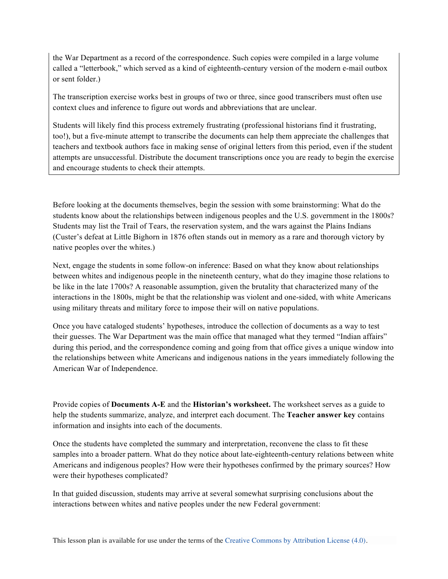the War Department as a record of the correspondence. Such copies were compiled in a large volume called a "letterbook," which served as a kind of eighteenth-century version of the modern e-mail outbox or sent folder.)

The transcription exercise works best in groups of two or three, since good transcribers must often use context clues and inference to figure out words and abbreviations that are unclear.

Students will likely find this process extremely frustrating (professional historians find it frustrating, too!), but a five-minute attempt to transcribe the documents can help them appreciate the challenges that teachers and textbook authors face in making sense of original letters from this period, even if the student attempts are unsuccessful. Distribute the document transcriptions once you are ready to begin the exercise and encourage students to check their attempts.

Before looking at the documents themselves, begin the session with some brainstorming: What do the students know about the relationships between indigenous peoples and the U.S. government in the 1800s? Students may list the Trail of Tears, the reservation system, and the wars against the Plains Indians (Custer's defeat at Little Bighorn in 1876 often stands out in memory as a rare and thorough victory by native peoples over the whites.)

Next, engage the students in some follow-on inference: Based on what they know about relationships between whites and indigenous people in the nineteenth century, what do they imagine those relations to be like in the late 1700s? A reasonable assumption, given the brutality that characterized many of the interactions in the 1800s, might be that the relationship was violent and one-sided, with white Americans using military threats and military force to impose their will on native populations.

Once you have cataloged students' hypotheses, introduce the collection of documents as a way to test their guesses. The War Department was the main office that managed what they termed "Indian affairs" during this period, and the correspondence coming and going from that office gives a unique window into the relationships between white Americans and indigenous nations in the years immediately following the American War of Independence.

Provide copies of **Documents A-E** and the **Historian's worksheet.** The worksheet serves as a guide to help the students summarize, analyze, and interpret each document. The **Teacher answer key** contains information and insights into each of the documents.

Once the students have completed the summary and interpretation, reconvene the class to fit these samples into a broader pattern. What do they notice about late-eighteenth-century relations between white Americans and indigenous peoples? How were their hypotheses confirmed by the primary sources? How were their hypotheses complicated?

In that guided discussion, students may arrive at several somewhat surprising conclusions about the interactions between whites and native peoples under the new Federal government: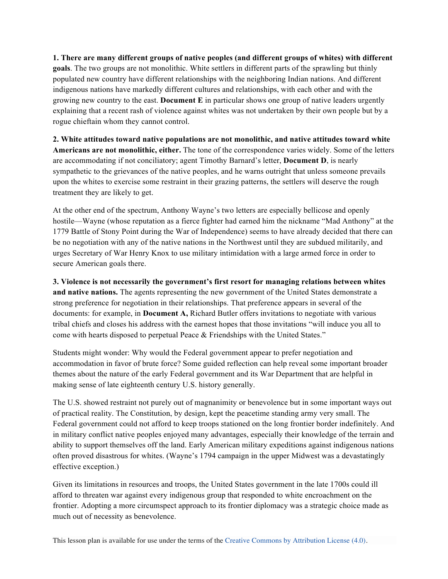**1. There are many different groups of native peoples (and different groups of whites) with different goals**. The two groups are not monolithic. White settlers in different parts of the sprawling but thinly populated new country have different relationships with the neighboring Indian nations. And different indigenous nations have markedly different cultures and relationships, with each other and with the growing new country to the east. **Document E** in particular shows one group of native leaders urgently explaining that a recent rash of violence against whites was not undertaken by their own people but by a rogue chieftain whom they cannot control.

**2. White attitudes toward native populations are not monolithic, and native attitudes toward white Americans are not monolithic, either.** The tone of the correspondence varies widely. Some of the letters are accommodating if not conciliatory; agent Timothy Barnard's letter, **Document D**, is nearly sympathetic to the grievances of the native peoples, and he warns outright that unless someone prevails upon the whites to exercise some restraint in their grazing patterns, the settlers will deserve the rough treatment they are likely to get.

At the other end of the spectrum, Anthony Wayne's two letters are especially bellicose and openly hostile—Wayne (whose reputation as a fierce fighter had earned him the nickname "Mad Anthony" at the 1779 Battle of Stony Point during the War of Independence) seems to have already decided that there can be no negotiation with any of the native nations in the Northwest until they are subdued militarily, and urges Secretary of War Henry Knox to use military intimidation with a large armed force in order to secure American goals there.

**3. Violence is not necessarily the government's first resort for managing relations between whites and native nations.** The agents representing the new government of the United States demonstrate a strong preference for negotiation in their relationships. That preference appears in several of the documents: for example, in **Document A,** Richard Butler offers invitations to negotiate with various tribal chiefs and closes his address with the earnest hopes that those invitations "will induce you all to come with hearts disposed to perpetual Peace & Friendships with the United States."

Students might wonder: Why would the Federal government appear to prefer negotiation and accommodation in favor of brute force? Some guided reflection can help reveal some important broader themes about the nature of the early Federal government and its War Department that are helpful in making sense of late eighteenth century U.S. history generally.

The U.S. showed restraint not purely out of magnanimity or benevolence but in some important ways out of practical reality. The Constitution, by design, kept the peacetime standing army very small. The Federal government could not afford to keep troops stationed on the long frontier border indefinitely. And in military conflict native peoples enjoyed many advantages, especially their knowledge of the terrain and ability to support themselves off the land. Early American military expeditions against indigenous nations often proved disastrous for whites. (Wayne's 1794 campaign in the upper Midwest was a devastatingly effective exception.)

Given its limitations in resources and troops, the United States government in the late 1700s could ill afford to threaten war against every indigenous group that responded to white encroachment on the frontier. Adopting a more circumspect approach to its frontier diplomacy was a strategic choice made as much out of necessity as benevolence.